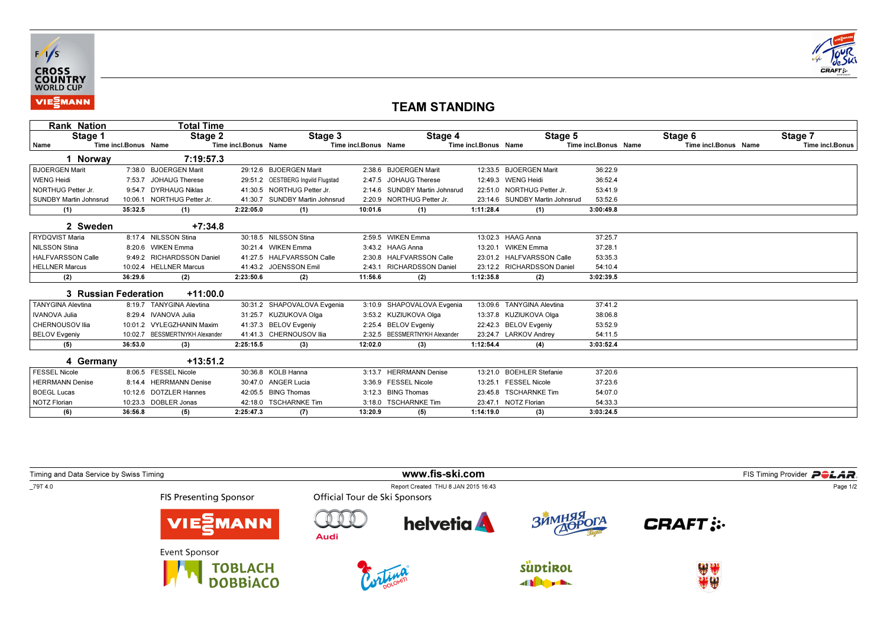



## TEAM STANDING

| <b>Rank Nation</b>            |                      | Total Time                     |                      |                                   |                      |                               |                      |                                |                      |                      |                 |
|-------------------------------|----------------------|--------------------------------|----------------------|-----------------------------------|----------------------|-------------------------------|----------------------|--------------------------------|----------------------|----------------------|-----------------|
| Stage 1                       |                      | Stage 2                        |                      | Stage 3                           |                      | Stage 4                       |                      | Stage 5                        |                      | Stage 6              | Stage 7         |
| Name                          | Time incl.Bonus Name |                                | Time incl.Bonus Name |                                   | Time incl.Bonus Name |                               | Time incl.Bonus Name |                                | Time incl.Bonus Name | Time incl.Bonus Name | Time incl.Bonus |
| 1 Norway                      |                      | 7:19:57.3                      |                      |                                   |                      |                               |                      |                                |                      |                      |                 |
| <b>BJOERGEN Marit</b>         |                      | 7:38.0 BJOERGEN Marit          |                      | 29:12.6 BJOERGEN Marit            |                      | 2:38.6 BJOERGEN Marit         |                      | 12:33.5 BJOERGEN Marit         | 36:22.9              |                      |                 |
| <b>WENG Heidi</b>             |                      | 7:53.7 JOHAUG Therese          |                      | 29:51.2 OESTBERG Ingvild Flugstad |                      | 2:47.5 JOHAUG Therese         |                      | 12:49.3 WENG Heidi             | 36:52.4              |                      |                 |
| NORTHUG Petter Jr.            |                      | 9:54.7 DYRHAUG Niklas          |                      | 41:30.5 NORTHUG Petter Jr.        |                      | 2:14.6 SUNDBY Martin Johnsrud |                      | 22:51.0 NORTHUG Petter Jr.     | 53:41.9              |                      |                 |
| <b>SUNDBY Martin Johnsrud</b> | 10:06.1              | NORTHUG Petter Jr.             |                      | 41:30.7 SUNDBY Martin Johnsrud    | 2:20.9               | NORTHUG Petter Jr.            |                      | 23:14.6 SUNDBY Martin Johnsrud | 53:52.6              |                      |                 |
| (1)                           | 35:32.5              | (1)                            | 2:22:05.0            | (1)                               | 10:01.6              | (1)                           | 1:11:28.4            | (1)                            | 3:00:49.8            |                      |                 |
| 2 Sweden                      |                      | $+7:34.8$                      |                      |                                   |                      |                               |                      |                                |                      |                      |                 |
| RYDQVIST Maria                |                      | 8:17.4 NILSSON Stina           |                      | 30:18.5 NILSSON Stina             |                      | 2:59.5 WIKEN Emma             |                      | 13:02.3 HAAG Anna              | 37:25.7              |                      |                 |
| <b>NILSSON Stina</b>          |                      | 8:20.6 WIKEN Emma              |                      | 30:21.4 WIKEN Emma                |                      | 3:43.2 HAAG Anna              |                      | 13:20.1 WIKEN Emma             | 37:28.1              |                      |                 |
| <b>HALFVARSSON Calle</b>      |                      | 9:49.2 RICHARDSSON Daniel      |                      | 41:27.5 HALFVARSSON Calle         |                      | 2:30.8 HALFVARSSON Calle      |                      | 23:01.2 HALFVARSSON Calle      | 53:35.3              |                      |                 |
| <b>HELLNER Marcus</b>         |                      | 10:02.4 HELLNER Marcus         |                      | 41:43.2 JOENSSON Emil             |                      | 2:43.1 RICHARDSSON Daniel     |                      | 23:12.2 RICHARDSSON Daniel     | 54:10.4              |                      |                 |
| (2)                           | 36:29.6              | (2)                            | 2:23:50.6            | (2)                               | 11:56.6              | (2)                           | 1:12:35.8            | (2)                            | 3:02:39.5            |                      |                 |
| 3 Russian Federation          |                      | $+11:00.0$                     |                      |                                   |                      |                               |                      |                                |                      |                      |                 |
| <b>TANYGINA Alevtina</b>      |                      | 8:19.7 TANYGINA Alevtina       |                      | 30:31.2 SHAPOVALOVA Evgenia       | 3:10.9               | SHAPOVALOVA Evgenia           |                      | 13:09.6 TANYGINA Alevtina      | 37:41.2              |                      |                 |
| <b>IVANOVA Julia</b>          |                      | 8:29.4 IVANOVA Julia           |                      | 31:25.7 KUZIUKOVA Olga            |                      | 3:53.2 KUZIUKOVA Olga         |                      | 13:37.8 KUZIUKOVA Olga         | 38:06.8              |                      |                 |
| CHERNOUSOV Ilia               |                      | 10:01.2 VYLEGZHANIN Maxim      |                      | 41:37.3 BELOV Evgeniy             |                      | 2:25.4 BELOV Evgeniy          |                      | 22:42.3 BELOV Evgeniy          | 53:52.9              |                      |                 |
| <b>BELOV Evgeniy</b>          |                      | 10:02.7 BESSMERTNYKH Alexander |                      | 41:41.3 CHERNOUSOV Ilia           | 2:32.5               | <b>BESSMERTNYKH Alexander</b> |                      | 23:24.7 LARKOV Andrey          | 54:11.5              |                      |                 |
| (5)                           | 36:53.0              | (3)                            | 2:25:15.5            | (3)                               | 12:02.0              | (3)                           | 1:12:54.4            | (4)                            | 3:03:52.4            |                      |                 |
| 4 Germany                     |                      | $+13:51.2$                     |                      |                                   |                      |                               |                      |                                |                      |                      |                 |
| <b>FESSEL Nicole</b>          |                      | 8:06.5 FESSEL Nicole           |                      | 30:36.8 KOLB Hanna                | 3:13.7               | <b>HERRMANN Denise</b>        | 13:21.0              | <b>BOEHLER Stefanie</b>        | 37:20.6              |                      |                 |
| <b>HERRMANN Denise</b>        |                      | 8:14.4 HERRMANN Denise         |                      | 30:47.0 ANGER Lucia               |                      | 3:36.9 FESSEL Nicole          |                      | 13:25.1 FESSEL Nicole          | 37:23.6              |                      |                 |
| <b>BOEGL Lucas</b>            |                      | 10:12.6 DOTZLER Hannes         |                      | 42:05.5 BING Thomas               | 3:12.3               | <b>BING Thomas</b>            |                      | 23:45.8 TSCHARNKE Tim          | 54:07.0              |                      |                 |
| <b>NOTZ Florian</b>           |                      | 10:23.3 DOBLER Jonas           |                      | 42:18.0 TSCHARNKE Tim             |                      | 3:18.0 TSCHARNKE Tim          |                      | 23:47.1 NOTZ Florian           | 54:33.3              |                      |                 |
| (6)                           | 36:56.8              | (5)                            | 2:25:47.3            | (7)                               | 13:20.9              | (5)                           | 1:14:19.0            | (3)                            | 3:03:24.5            |                      |                 |